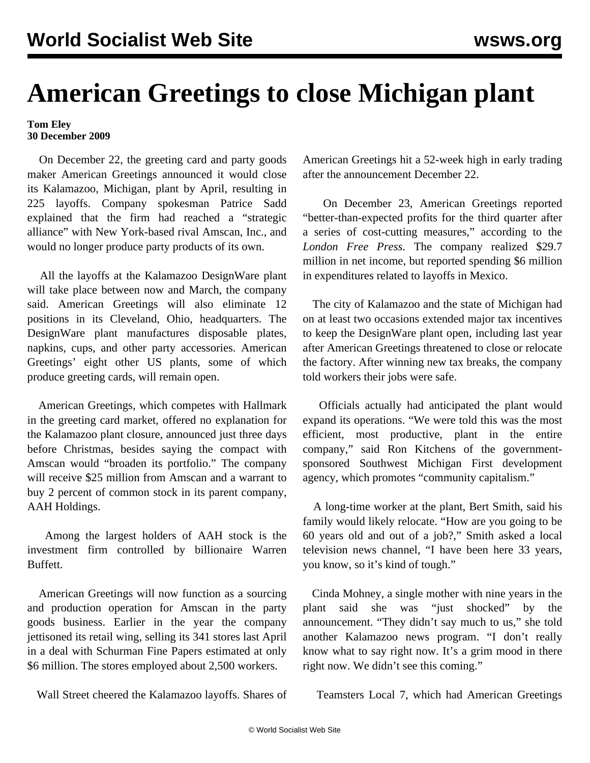## **American Greetings to close Michigan plant**

**Tom Eley 30 December 2009**

 On December 22, the greeting card and party goods maker American Greetings announced it would close its Kalamazoo, Michigan, plant by April, resulting in 225 layoffs. Company spokesman Patrice Sadd explained that the firm had reached a "strategic alliance" with New York-based rival Amscan, Inc., and would no longer produce party products of its own.

 All the layoffs at the Kalamazoo DesignWare plant will take place between now and March, the company said. American Greetings will also eliminate 12 positions in its Cleveland, Ohio, headquarters. The DesignWare plant manufactures disposable plates, napkins, cups, and other party accessories. American Greetings' eight other US plants, some of which produce greeting cards, will remain open.

 American Greetings, which competes with Hallmark in the greeting card market, offered no explanation for the Kalamazoo plant closure, announced just three days before Christmas, besides saying the compact with Amscan would "broaden its portfolio." The company will receive \$25 million from Amscan and a warrant to buy 2 percent of common stock in its parent company, AAH Holdings.

 Among the largest holders of AAH stock is the investment firm controlled by billionaire Warren Buffett.

 American Greetings will now function as a sourcing and production operation for Amscan in the party goods business. Earlier in the year the company jettisoned its retail wing, selling its 341 stores last April in a deal with Schurman Fine Papers estimated at only \$6 million. The stores employed about 2,500 workers.

Wall Street cheered the Kalamazoo layoffs. Shares of

American Greetings hit a 52-week high in early trading after the announcement December 22.

 On December 23, American Greetings reported "better-than-expected profits for the third quarter after a series of cost-cutting measures," according to the *London Free Press*. The company realized \$29.7 million in net income, but reported spending \$6 million in expenditures related to layoffs in Mexico.

 The city of Kalamazoo and the state of Michigan had on at least two occasions extended major tax incentives to keep the DesignWare plant open, including last year after American Greetings threatened to close or relocate the factory. After winning new tax breaks, the company told workers their jobs were safe.

 Officials actually had anticipated the plant would expand its operations. "We were told this was the most efficient, most productive, plant in the entire company," said Ron Kitchens of the governmentsponsored Southwest Michigan First development agency, which promotes "community capitalism."

 A long-time worker at the plant, Bert Smith, said his family would likely relocate. "How are you going to be 60 years old and out of a job?," Smith asked a local television news channel, "I have been here 33 years, you know, so it's kind of tough."

 Cinda Mohney, a single mother with nine years in the plant said she was "just shocked" by the announcement. "They didn't say much to us," she told another Kalamazoo news program. "I don't really know what to say right now. It's a grim mood in there right now. We didn't see this coming."

Teamsters Local 7, which had American Greetings